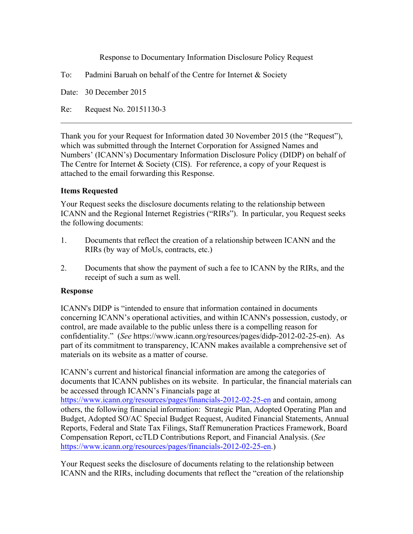Response to Documentary Information Disclosure Policy Request

Date: 30 December 2015

Re: Request No. 20151130-3

Thank you for your Request for Information dated 30 November 2015 (the "Request"), which was submitted through the Internet Corporation for Assigned Names and Numbers' (ICANN's) Documentary Information Disclosure Policy (DIDP) on behalf of The Centre for Internet & Society (CIS). For reference, a copy of your Request is attached to the email forwarding this Response.

 $\mathcal{L}_\text{max} = \mathcal{L}_\text{max} = \mathcal{L}_\text{max} = \mathcal{L}_\text{max} = \mathcal{L}_\text{max} = \mathcal{L}_\text{max} = \mathcal{L}_\text{max} = \mathcal{L}_\text{max} = \mathcal{L}_\text{max} = \mathcal{L}_\text{max} = \mathcal{L}_\text{max} = \mathcal{L}_\text{max} = \mathcal{L}_\text{max} = \mathcal{L}_\text{max} = \mathcal{L}_\text{max} = \mathcal{L}_\text{max} = \mathcal{L}_\text{max} = \mathcal{L}_\text{max} = \mathcal{$ 

## **Items Requested**

Your Request seeks the disclosure documents relating to the relationship between ICANN and the Regional Internet Registries ("RIRs"). In particular, you Request seeks the following documents:

- 1. Documents that reflect the creation of a relationship between ICANN and the RIRs (by way of MoUs, contracts, etc.)
- 2. Documents that show the payment of such a fee to ICANN by the RIRs, and the receipt of such a sum as well.

### **Response**

ICANN's DIDP is "intended to ensure that information contained in documents concerning ICANN's operational activities, and within ICANN's possession, custody, or control, are made available to the public unless there is a compelling reason for confidentiality." (*See* https://www.icann.org/resources/pages/didp-2012-02-25-en). As part of its commitment to transparency, ICANN makes available a comprehensive set of materials on its website as a matter of course.

ICANN's current and historical financial information are among the categories of documents that ICANN publishes on its website. In particular, the financial materials can be accessed through ICANN's Financials page at

https://www.icann.org/resources/pages/financials-2012-02-25-en and contain, among others, the following financial information: Strategic Plan, Adopted Operating Plan and Budget, Adopted SO/AC Special Budget Request, Audited Financial Statements, Annual Reports, Federal and State Tax Filings, Staff Remuneration Practices Framework, Board Compensation Report, ccTLD Contributions Report, and Financial Analysis. (*See*  https://www.icann.org/resources/pages/financials-2012-02-25-en.)

Your Request seeks the disclosure of documents relating to the relationship between ICANN and the RIRs, including documents that reflect the "creation of the relationship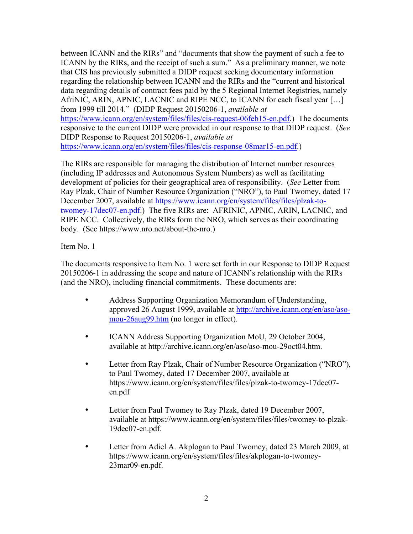between ICANN and the RIRs" and "documents that show the payment of such a fee to ICANN by the RIRs, and the receipt of such a sum." As a preliminary manner, we note that CIS has previously submitted a DIDP request seeking documentary information regarding the relationship between ICANN and the RIRs and the "current and historical data regarding details of contract fees paid by the 5 Regional Internet Registries, namely AfriNIC, ARIN, APNIC, LACNIC and RIPE NCC, to ICANN for each fiscal year […] from 1999 till 2014." (DIDP Request 20150206-1, *available at*  https://www.icann.org/en/system/files/files/cis-request-06feb15-en.pdf.) The documents responsive to the current DIDP were provided in our response to that DIDP request. (*See*  DIDP Response to Request 20150206-1, *available at*  https://www.icann.org/en/system/files/files/cis-response-08mar15-en.pdf.)

The RIRs are responsible for managing the distribution of Internet number resources (including IP addresses and Autonomous System Numbers) as well as facilitating development of policies for their geographical area of responsibility. (*See* Letter from Ray Plzak, Chair of Number Resource Organization ("NRO"), to Paul Twomey, dated 17 December 2007, available at https://www.icann.org/en/system/files/files/plzak-totwomey-17dec07-en.pdf.) The five RIRs are: AFRINIC, APNIC, ARIN, LACNIC, and RIPE NCC. Collectively, the RIRs form the NRO, which serves as their coordinating body. (See https://www.nro.net/about-the-nro.)

## Item No. 1

The documents responsive to Item No. 1 were set forth in our Response to DIDP Request 20150206-1 in addressing the scope and nature of ICANN's relationship with the RIRs (and the NRO), including financial commitments. These documents are:

- Address Supporting Organization Memorandum of Understanding, approved 26 August 1999, available at http://archive.icann.org/en/aso/asomou-26aug99.htm (no longer in effect).
- ICANN Address Supporting Organization MoU, 29 October 2004, available at http://archive.icann.org/en/aso/aso-mou-29oct04.htm.
- Letter from Ray Plzak, Chair of Number Resource Organization ("NRO"), to Paul Twomey, dated 17 December 2007, available at https://www.icann.org/en/system/files/files/plzak-to-twomey-17dec07 en.pdf
- Letter from Paul Twomey to Ray Plzak, dated 19 December 2007, available at https://www.icann.org/en/system/files/files/twomey-to-plzak-19dec07-en.pdf.
- Letter from Adiel A. Akplogan to Paul Twomey, dated 23 March 2009, at https://www.icann.org/en/system/files/files/akplogan-to-twomey-23mar09-en.pdf.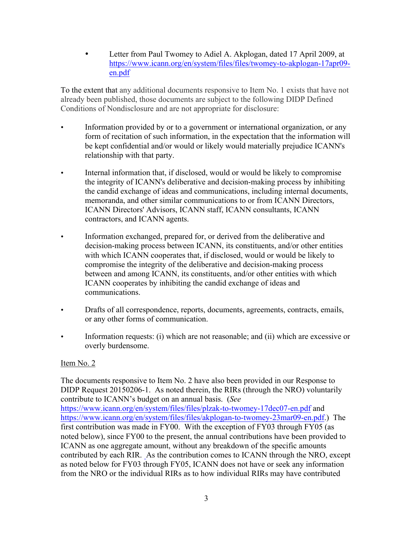• Letter from Paul Twomey to Adiel A. Akplogan, dated 17 April 2009, at https://www.icann.org/en/system/files/files/twomey-to-akplogan-17apr09 en.pdf

To the extent that any additional documents responsive to Item No. 1 exists that have not already been published, those documents are subject to the following DIDP Defined Conditions of Nondisclosure and are not appropriate for disclosure:

- Information provided by or to a government or international organization, or any form of recitation of such information, in the expectation that the information will be kept confidential and/or would or likely would materially prejudice ICANN's relationship with that party.
- Internal information that, if disclosed, would or would be likely to compromise the integrity of ICANN's deliberative and decision-making process by inhibiting the candid exchange of ideas and communications, including internal documents, memoranda, and other similar communications to or from ICANN Directors, ICANN Directors' Advisors, ICANN staff, ICANN consultants, ICANN contractors, and ICANN agents.
- Information exchanged, prepared for, or derived from the deliberative and decision-making process between ICANN, its constituents, and/or other entities with which ICANN cooperates that, if disclosed, would or would be likely to compromise the integrity of the deliberative and decision-making process between and among ICANN, its constituents, and/or other entities with which ICANN cooperates by inhibiting the candid exchange of ideas and communications.
- Drafts of all correspondence, reports, documents, agreements, contracts, emails, or any other forms of communication.
- Information requests: (i) which are not reasonable; and (ii) which are excessive or overly burdensome.

# Item No. 2

The documents responsive to Item No. 2 have also been provided in our Response to DIDP Request 20150206-1. As noted therein, the RIRs (through the NRO) voluntarily contribute to ICANN's budget on an annual basis. (*See* https://www.icann.org/en/system/files/files/plzak-to-twomey-17dec07-en.pdf and https://www.icann.org/en/system/files/files/akplogan-to-twomey-23mar09-en.pdf.) The first contribution was made in FY00. With the exception of FY03 through FY05 (as noted below), since FY00 to the present, the annual contributions have been provided to ICANN as one aggregate amount, without any breakdown of the specific amounts contributed by each RIR. As the contribution comes to ICANN through the NRO, except as noted below for FY03 through FY05, ICANN does not have or seek any information from the NRO or the individual RIRs as to how individual RIRs may have contributed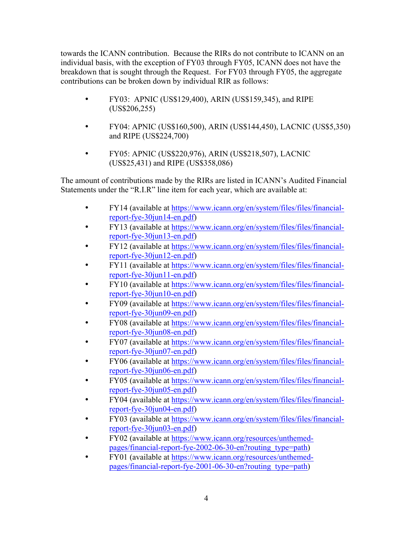towards the ICANN contribution. Because the RIRs do not contribute to ICANN on an individual basis, with the exception of FY03 through FY05, ICANN does not have the breakdown that is sought through the Request. For FY03 through FY05, the aggregate contributions can be broken down by individual RIR as follows:

- FY03: APNIC (US\$129,400), ARIN (US\$159,345), and RIPE (US\$206,255)
- FY04: APNIC (US\$160,500), ARIN (US\$144,450), LACNIC (US\$5,350) and RIPE (US\$224,700)
- FY05: APNIC (US\$220,976), ARIN (US\$218,507), LACNIC (US\$25,431) and RIPE (US\$358,086)

The amount of contributions made by the RIRs are listed in ICANN's Audited Financial Statements under the "R.I.R" line item for each year, which are available at:

- FY14 (available at https://www.icann.org/en/system/files/files/financialreport-fye-30jun14-en.pdf)
- FY13 (available at https://www.icann.org/en/system/files/files/financialreport-fye-30jun13-en.pdf)
- FY12 (available at https://www.icann.org/en/system/files/files/financialreport-fye-30jun12-en.pdf)
- FY11 (available at https://www.icann.org/en/system/files/files/financialreport-fye-30jun11-en.pdf)
- FY10 (available at https://www.icann.org/en/system/files/files/financialreport-fye-30jun10-en.pdf)
- FY09 (available at https://www.icann.org/en/system/files/files/financialreport-fye-30jun09-en.pdf)
- FY08 (available at https://www.icann.org/en/system/files/files/financialreport-fye-30jun08-en.pdf)
- FY07 (available at https://www.icann.org/en/system/files/files/financialreport-fye-30jun07-en.pdf)
- FY06 (available at https://www.icann.org/en/system/files/files/financialreport-fye-30jun06-en.pdf)
- FY05 (available at https://www.icann.org/en/system/files/files/financialreport-fye-30jun05-en.pdf)
- FY04 (available at https://www.icann.org/en/system/files/files/financialreport-fye-30jun04-en.pdf)
- FY03 (available at https://www.icann.org/en/system/files/files/financialreport-fye-30jun03-en.pdf)
- FY02 (available at https://www.icann.org/resources/unthemedpages/financial-report-fye-2002-06-30-en?routing\_type=path)
- FY01 (available at https://www.icann.org/resources/unthemedpages/financial-report-fye-2001-06-30-en?routing\_type=path)